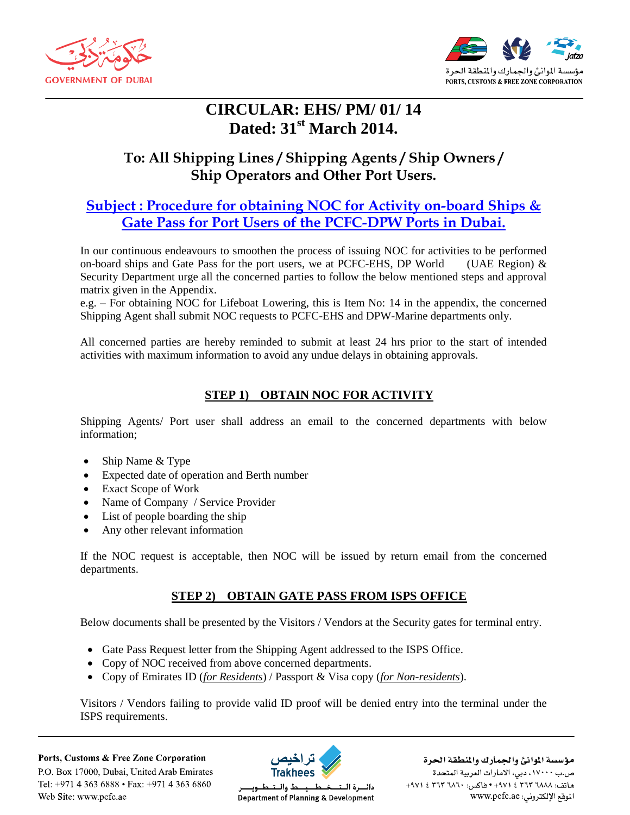



# **CIRCULAR: EHS/ PM/ 01/ 14 Dated: 31st March 2014.**

# **To: All Shipping Lines / Shipping Agents / Ship Owners / Ship Operators and Other Port Users.**

## **Subject : Procedure for obtaining NOC for Activity on-board Ships & Gate Pass for Port Users of the PCFC-DPW Ports in Dubai.**

In our continuous endeavours to smoothen the process of issuing NOC for activities to be performed on-board ships and Gate Pass for the port users, we at PCFC-EHS, DP World (UAE Region)  $\&$ Security Department urge all the concerned parties to follow the below mentioned steps and approval matrix given in the Appendix.

e.g. – For obtaining NOC for Lifeboat Lowering, this is Item No: 14 in the appendix, the concerned Shipping Agent shall submit NOC requests to PCFC-EHS and DPW-Marine departments only.

All concerned parties are hereby reminded to submit at least 24 hrs prior to the start of intended activities with maximum information to avoid any undue delays in obtaining approvals.

### **STEP 1) OBTAIN NOC FOR ACTIVITY**

Shipping Agents/ Port user shall address an email to the concerned departments with below information;

- Ship Name & Type
- Expected date of operation and Berth number
- Exact Scope of Work
- Name of Company / Service Provider
- List of people boarding the ship
- Any other relevant information

If the NOC request is acceptable, then NOC will be issued by return email from the concerned departments.

### **STEP 2) OBTAIN GATE PASS FROM ISPS OFFICE**

Below documents shall be presented by the Visitors / Vendors at the Security gates for terminal entry.

- Gate Pass Request letter from the Shipping Agent addressed to the ISPS Office.
- Copy of NOC received from above concerned departments.
- Copy of Emirates ID (*for Residents*) / Passport & Visa copy (*for Non-residents*).

Visitors / Vendors failing to provide valid ID proof will be denied entry into the terminal under the ISPS requirements.

Ports, Customs & Free Zone Corporation P.O. Box 17000, Dubai, United Arab Emirates Tel: +971 4 363 6888 • Fax: +971 4 363 6860 Web Site: www.pcfc.ae



دائيرة التنخيط يبيط والتنظبويا Department of Planning & Development

مؤسسة الموانئ والجمارك والنطقة الحرة ص.ب ١٧٠٠٠، دبي، الامارات العربية المتحدة هاتف: ۲۸۸۸ ۳٦۳ ٤ ۹۷۱+ • فاکس: ۳٦٣ ٣٦٣ ٤ ٩٧١+ الموقع الإلكتروني: www.pcfc.ae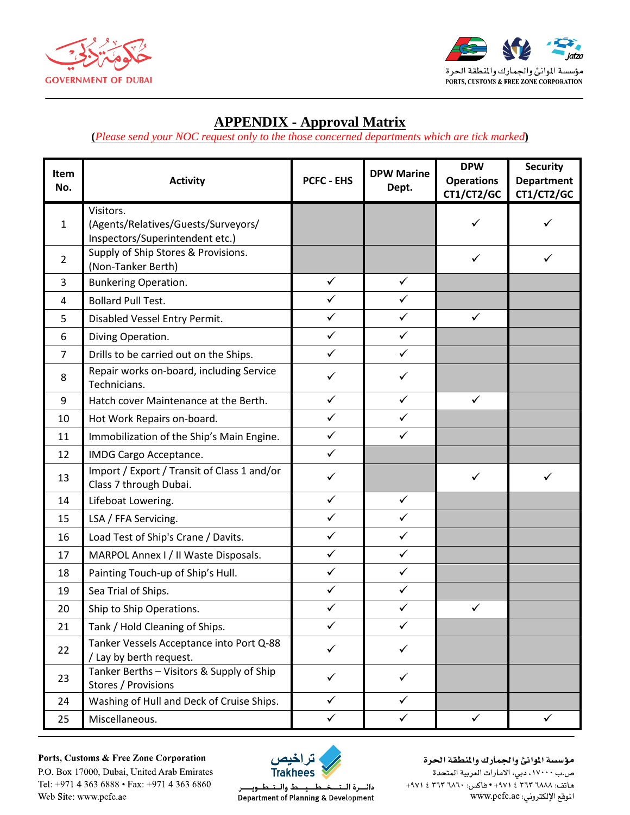



### **APPENDIX - Approval Matrix**

**(***Please send your NOC request only to the those concerned departments which are tick marked***)**

| Item<br>No.    | <b>Activity</b>                                                                     | <b>PCFC - EHS</b> | <b>DPW Marine</b><br>Dept. | <b>DPW</b><br><b>Operations</b><br>CT1/CT2/GC | <b>Security</b><br><b>Department</b><br>CT1/CT2/GC |
|----------------|-------------------------------------------------------------------------------------|-------------------|----------------------------|-----------------------------------------------|----------------------------------------------------|
| $\mathbf{1}$   | Visitors.<br>(Agents/Relatives/Guests/Surveyors/<br>Inspectors/Superintendent etc.) |                   |                            | ✓                                             | ✓                                                  |
| $\overline{2}$ | Supply of Ship Stores & Provisions.<br>(Non-Tanker Berth)                           |                   |                            | ✓                                             | ✓                                                  |
| 3              | <b>Bunkering Operation.</b>                                                         | $\checkmark$      | $\checkmark$               |                                               |                                                    |
| 4              | <b>Bollard Pull Test.</b>                                                           | ✓                 | $\checkmark$               |                                               |                                                    |
| 5              | Disabled Vessel Entry Permit.                                                       | $\checkmark$      | $\checkmark$               | $\checkmark$                                  |                                                    |
| 6              | Diving Operation.                                                                   | $\checkmark$      | $\checkmark$               |                                               |                                                    |
| $\overline{7}$ | Drills to be carried out on the Ships.                                              | $\checkmark$      | $\checkmark$               |                                               |                                                    |
| 8              | Repair works on-board, including Service<br>Technicians.                            | ✓                 | ✓                          |                                               |                                                    |
| 9              | Hatch cover Maintenance at the Berth.                                               | $\checkmark$      | ✓                          | ✓                                             |                                                    |
| 10             | Hot Work Repairs on-board.                                                          | $\checkmark$      | $\checkmark$               |                                               |                                                    |
| 11             | Immobilization of the Ship's Main Engine.                                           | $\checkmark$      | $\checkmark$               |                                               |                                                    |
| 12             | IMDG Cargo Acceptance.                                                              | $\checkmark$      |                            |                                               |                                                    |
| 13             | Import / Export / Transit of Class 1 and/or<br>Class 7 through Dubai.               | $\checkmark$      |                            | $\checkmark$                                  | ✓                                                  |
| 14             | Lifeboat Lowering.                                                                  | $\checkmark$      | $\checkmark$               |                                               |                                                    |
| 15             | LSA / FFA Servicing.                                                                | $\checkmark$      | ✓                          |                                               |                                                    |
| 16             | Load Test of Ship's Crane / Davits.                                                 | $\checkmark$      | ✓                          |                                               |                                                    |
| 17             | MARPOL Annex I / II Waste Disposals.                                                | $\checkmark$      | ✓                          |                                               |                                                    |
| 18             | Painting Touch-up of Ship's Hull.                                                   | $\checkmark$      | ✓                          |                                               |                                                    |
| 19             | Sea Trial of Ships.                                                                 | $\checkmark$      | $\checkmark$               |                                               |                                                    |
| 20             | Ship to Ship Operations.                                                            | ✓                 | ✓                          | ✓                                             |                                                    |
| 21             | Tank / Hold Cleaning of Ships.                                                      | $\checkmark$      | $\checkmark$               |                                               |                                                    |
| 22             | Tanker Vessels Acceptance into Port Q-88<br>/ Lay by berth request.                 | ✓                 | $\checkmark$               |                                               |                                                    |
| 23             | Tanker Berths - Visitors & Supply of Ship<br>Stores / Provisions                    | ✓                 | ✓                          |                                               |                                                    |
| 24             | Washing of Hull and Deck of Cruise Ships.                                           | $\checkmark$      | $\checkmark$               |                                               |                                                    |
| 25             | Miscellaneous.                                                                      | $\checkmark$      | $\checkmark$               | $\checkmark$                                  | $\checkmark$                                       |

Ports, Customs & Free Zone Corporation P.O. Box 17000, Dubai, United Arab Emirates

Tel: +971 4 363 6888 • Fax: +971 4 363 6860

Web Site: www.pcfc.ae



#### مؤسسة الموانئ والجمارك والنطقة الحرة ص.ب ١٧٠٠٠، دبي، الأمارات العربية المتحدة هاتف: ٢٦٨٨ ٣٦٣ ٤ ٢٧١٠ • فاكس: ٢٦٢ ٣ ٢٦٣ ٤ ٩٧١+

دائـــرة الــتـــخــطــــيـــط والــتــطــويـــ Department of Planning & Development الموقع الإلكتروني: www.pcfc.ae